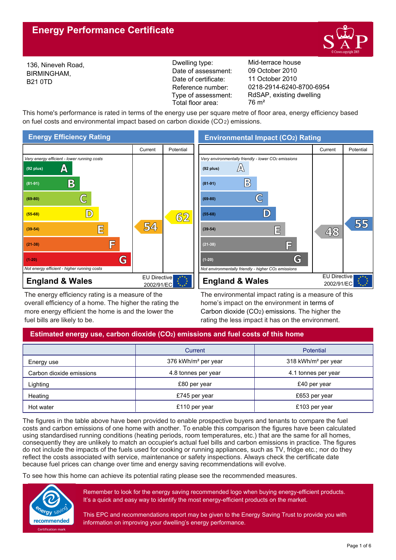# **Energy Performance Certificate**



136, Nineveh Road, BIRMINGHAM, B21 0TD

Reference number: Dwelling type: Mid-terrace house Date of certificate: Date of assessment: Type of assessment: Total floor area: 76 m<sup>2</sup>

0218-2914-6240-8700-6954 11 October 2010 09 October 2010 RdSAP, existing dwelling

This home's performance is rated in terms of the energy use per square metre of floor area, energy efficiency based on fuel costs and environmental impact based on carbon dioxide (CO2) emissions.



The energy efficiency rating is a measure of the overall efficiency of a home. The higher the rating the more energy efficient the home is and the lower the fuel bills are likely to be.

**Environmental Impact (CO2) Rating**



The environmental impact rating is a measure of this home's impact on the environment in terms of Carbon dioxide (CO2) emissions. The higher the rating the less impact it has on the environment.

# **Estimated energy use, carbon dioxide (CO2) emissions and fuel costs of this home**

|                          | Current                         | <b>Potential</b>                |
|--------------------------|---------------------------------|---------------------------------|
| Energy use               | 376 kWh/m <sup>2</sup> per year | 318 kWh/m <sup>2</sup> per year |
| Carbon dioxide emissions | 4.8 tonnes per year             | 4.1 tonnes per year             |
| Lighting                 | £80 per year                    | £40 per year                    |
| Heating                  | £745 per year                   | £653 per year                   |
| Hot water                | £110 per year                   | £103 per year                   |

The figures in the table above have been provided to enable prospective buyers and tenants to compare the fuel costs and carbon emissions of one home with another. To enable this comparison the figures have been calculated using standardised running conditions (heating periods, room temperatures, etc.) that are the same for all homes, consequently they are unlikely to match an occupier's actual fuel bills and carbon emissions in practice. The figures do not include the impacts of the fuels used for cooking or running appliances, such as TV, fridge etc.; nor do they reflect the costs associated with service, maintenance or safety inspections. Always check the certificate date because fuel prices can change over time and energy saving recommendations will evolve.

To see how this home can achieve its potential rating please see the recommended measures.



Remember to look for the energy saving recommended logo when buying energy-efficient products. It's a quick and easy way to identify the most energy-efficient products on the market.

This EPC and recommendations report may be given to the Energy Saving Trust to provide you with information on improving your dwelling's energy performance.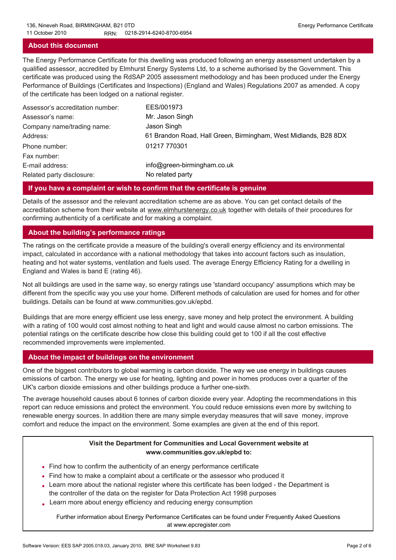### **About this document**

The Energy Performance Certificate for this dwelling was produced following an energy assessment undertaken by a qualified assessor, accredited by Elmhurst Energy Systems Ltd, to a scheme authorised by the Government. This certificate was produced using the RdSAP 2005 assessment methodology and has been produced under the Energy Performance of Buildings (Certificates and Inspections) (England and Wales) Regulations 2007 as amended. A copy of the certificate has been lodged on a national register.

| Assessor's accreditation number: | EES/001973                                                      |
|----------------------------------|-----------------------------------------------------------------|
| Assessor's name:                 | Mr. Jason Singh                                                 |
| Company name/trading name:       | Jason Singh                                                     |
| Address:                         | 61 Brandon Road, Hall Green, Birmingham, West Midlands, B28 8DX |
| Phone number:                    | 01217 770301                                                    |
| Fax number:                      |                                                                 |
| E-mail address:                  | info@green-birmingham.co.uk                                     |
| Related party disclosure:        | No related party                                                |
|                                  |                                                                 |

### **If you have a complaint or wish to confirm that the certificate is genuine**

Details of the assessor and the relevant accreditation scheme are as above. You can get contact details of the accreditation scheme from their website at www.elmhurstenergy.co.uk together with details of their procedures for confirming authenticity of a certificate and for making a complaint.

### **About the building's performance ratings**

The ratings on the certificate provide a measure of the building's overall energy efficiency and its environmental impact, calculated in accordance with a national methodology that takes into account factors such as insulation, heating and hot water systems, ventilation and fuels used. The average Energy Efficiency Rating for a dwelling in England and Wales is band E (rating 46).

Not all buildings are used in the same way, so energy ratings use 'standard occupancy' assumptions which may be different from the specific way you use your home. Different methods of calculation are used for homes and for other buildings. Details can be found at www.communities.gov.uk/epbd.

Buildings that are more energy efficient use less energy, save money and help protect the environment. A building with a rating of 100 would cost almost nothing to heat and light and would cause almost no carbon emissions. The potential ratings on the certificate describe how close this building could get to 100 if all the cost effective recommended improvements were implemented.

### **About the impact of buildings on the environment**

One of the biggest contributors to global warming is carbon dioxide. The way we use energy in buildings causes emissions of carbon. The energy we use for heating, lighting and power in homes produces over a quarter of the UK's carbon dioxide emissions and other buildings produce a further one-sixth.

The average household causes about 6 tonnes of carbon dioxide every year. Adopting the recommendations in this report can reduce emissions and protect the environment. You could reduce emissions even more by switching to renewable energy sources. In addition there are many simple everyday measures that will save money, improve comfort and reduce the impact on the environment. Some examples are given at the end of this report.

### **Visit the Department for Communities and Local Government website at www.communities.gov.uk/epbd to:**

- Find how to confirm the authenticity of an energy performance certificate •
- Find how to make a complaint about a certificate or the assessor who produced it •
- Learn more about the national register where this certificate has been lodged the Department is the controller of the data on the register for Data Protection Act 1998 purposes
- Learn more about energy efficiency and reducing energy consumption •

Further information about Energy Performance Certificates can be found under Frequently Asked Questions at www.epcregister.com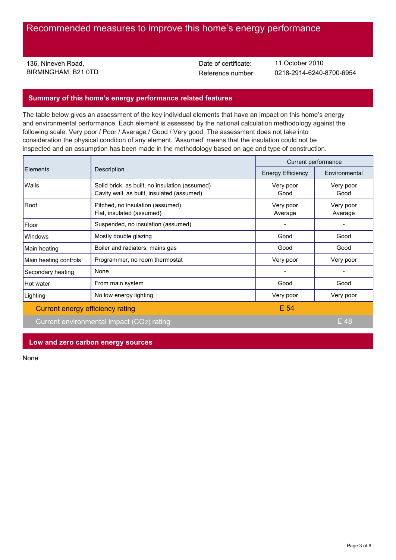136, Nineveh Road, BIRMINGHAM, B21 0TD Date of certificate:

Reference number: 0218-2914-6240-8700-6954 11 October 2010

# **Summary of this home's energy performance related features**

The table below gives an assessment of the key individual elements that have an impact on this home's energy and environmental performance. Each element is assessed by the national calculation methodology against the following scale: Very poor / Poor / Average / Good / Very good. The assessment does not take into consideration the physical condition of any element. 'Assumed' means that the insulation could not be inspected and an assumption has been made in the methodology based on age and type of construction.

|                                  | Description                                                                                  |                          | Current performance  |  |
|----------------------------------|----------------------------------------------------------------------------------------------|--------------------------|----------------------|--|
| <b>Elements</b>                  |                                                                                              | <b>Energy Efficiency</b> | Environmental        |  |
| Walls                            | Solid brick, as built, no insulation (assumed)<br>Cavity wall, as built, insulated (assumed) | Very poor<br>Good        | Very poor<br>Good    |  |
| Roof                             | Pitched, no insulation (assumed)<br>Flat, insulated (assumed)                                | Very poor<br>Average     | Very poor<br>Average |  |
| Floor                            | Suspended, no insulation (assumed)                                                           |                          |                      |  |
| <b>Windows</b>                   | Mostly double glazing                                                                        | Good                     | Good                 |  |
| Main heating                     | Boiler and radiators, mains gas                                                              | Good                     | Good                 |  |
| Main heating controls            | Programmer, no room thermostat                                                               | Very poor                | Very poor            |  |
| Secondary heating                | None                                                                                         |                          |                      |  |
| Hot water                        | From main system                                                                             | Good                     | Good                 |  |
| Lighting                         | No low energy lighting                                                                       | Very poor                | Very poor            |  |
| Current energy efficiency rating |                                                                                              | E 54                     |                      |  |
|                                  | Current environmental impact (CO2) rating                                                    |                          | $E$ 48               |  |

**Low and zero carbon energy sources**

None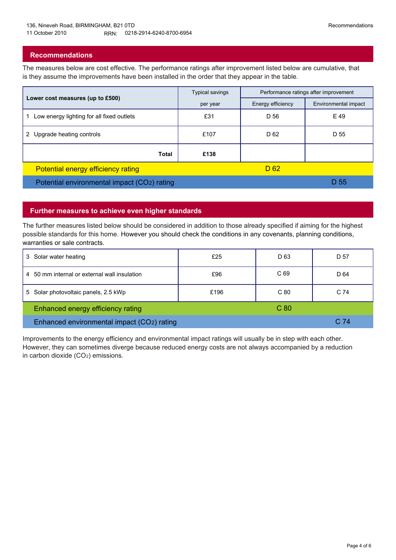# **Recommendations**

The measures below are cost effective. The performance ratings after improvement listed below are cumulative, that is they assume the improvements have been installed in the order that they appear in the table.

|                                             | <b>Typical savings</b> | Performance ratings after improvement |                      |
|---------------------------------------------|------------------------|---------------------------------------|----------------------|
| Lower cost measures (up to £500)            | per year               | Energy efficiency                     | Environmental impact |
| Low energy lighting for all fixed outlets   | £31                    | D 56                                  | E 49                 |
| 2 Upgrade heating controls                  | £107                   | D 62                                  | D 55                 |
| <b>Total</b>                                | £138                   |                                       |                      |
| Potential energy efficiency rating          |                        | D <sub>62</sub>                       |                      |
| Potential environmental impact (CO2) rating |                        |                                       | D 55                 |

### **Further measures to achieve even higher standards**

The further measures listed below should be considered in addition to those already specified if aiming for the highest possible standards for this home. However you should check the conditions in any covenants, planning conditions, warranties or sale contracts.

| 3 Solar water heating                        | £25  | D <sub>63</sub> | D 57 |
|----------------------------------------------|------|-----------------|------|
| 4 50 mm internal or external wall insulation | £96  | C 69            | D 64 |
| 5 Solar photovoltaic panels, 2.5 kWp         | £196 | C80             | C 74 |
| Enhanced energy efficiency rating            |      | C <sub>80</sub> |      |
| Enhanced environmental impact (CO2) rating   |      |                 | C 74 |

Improvements to the energy efficiency and environmental impact ratings will usually be in step with each other. However, they can sometimes diverge because reduced energy costs are not always accompanied by a reduction in carbon dioxide (CO2) emissions.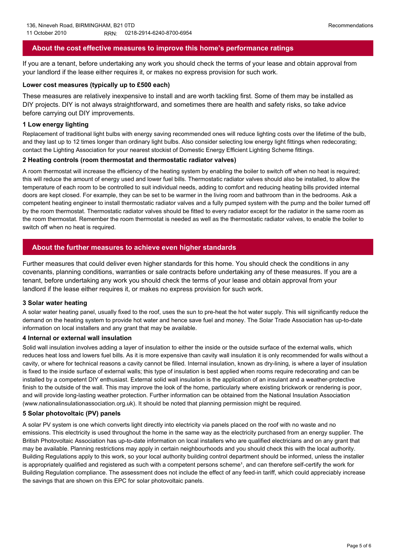# **About the cost effective measures to improve this home's performance ratings**

If you are a tenant, before undertaking any work you should check the terms of your lease and obtain approval from your landlord if the lease either requires it, or makes no express provision for such work.

### **Lower cost measures (typically up to £500 each)**

These measures are relatively inexpensive to install and are worth tackling first. Some of them may be installed as DIY projects. DIY is not always straightforward, and sometimes there are health and safety risks, so take advice before carrying out DIY improvements.

#### **1 Low energy lighting**

Replacement of traditional light bulbs with energy saving recommended ones will reduce lighting costs over the lifetime of the bulb, and they last up to 12 times longer than ordinary light bulbs. Also consider selecting low energy light fittings when redecorating; contact the Lighting Association for your nearest stockist of Domestic Energy Efficient Lighting Scheme fittings.

#### **2 Heating controls (room thermostat and thermostatic radiator valves)**

A room thermostat will increase the efficiency of the heating system by enabling the boiler to switch off when no heat is required; this will reduce the amount of energy used and lower fuel bills. Thermostatic radiator valves should also be installed, to allow the temperature of each room to be controlled to suit individual needs, adding to comfort and reducing heating bills provided internal doors are kept closed. For example, they can be set to be warmer in the living room and bathroom than in the bedrooms. Ask a competent heating engineer to install thermostatic radiator valves and a fully pumped system with the pump and the boiler turned off by the room thermostat. Thermostatic radiator valves should be fitted to every radiator except for the radiator in the same room as the room thermostat. Remember the room thermostat is needed as well as the thermostatic radiator valves, to enable the boiler to switch off when no heat is required.

### **About the further measures to achieve even higher standards**

Further measures that could deliver even higher standards for this home. You should check the conditions in any covenants, planning conditions, warranties or sale contracts before undertaking any of these measures. If you are a tenant, before undertaking any work you should check the terms of your lease and obtain approval from your landlord if the lease either requires it, or makes no express provision for such work.

#### **3 Solar water heating**

A solar water heating panel, usually fixed to the roof, uses the sun to pre-heat the hot water supply. This will significantly reduce the demand on the heating system to provide hot water and hence save fuel and money. The Solar Trade Association has up-to-date information on local installers and any grant that may be available.

#### **4 Internal or external wall insulation**

Solid wall insulation involves adding a layer of insulation to either the inside or the outside surface of the external walls, which reduces heat loss and lowers fuel bills. As it is more expensive than cavity wall insulation it is only recommended for walls without a cavity, or where for technical reasons a cavity cannot be filled. Internal insulation, known as dry-lining, is where a layer of insulation is fixed to the inside surface of external walls; this type of insulation is best applied when rooms require redecorating and can be installed by a competent DIY enthusiast. External solid wall insulation is the application of an insulant and a weather-protective finish to the outside of the wall. This may improve the look of the home, particularly where existing brickwork or rendering is poor, and will provide long-lasting weather protection. Further information can be obtained from the National Insulation Association (www.nationalinsulationassociation.org.uk). It should be noted that planning permission might be required.

#### **5 Solar photovoltaic (PV) panels**

A solar PV system is one which converts light directly into electricity via panels placed on the roof with no waste and no emissions. This electricity is used throughout the home in the same way as the electricity purchased from an energy supplier. The British Photovoltaic Association has up-to-date information on local installers who are qualified electricians and on any grant that may be available. Planning restrictions may apply in certain neighbourhoods and you should check this with the local authority. Building Regulations apply to this work, so your local authority building control department should be informed, unless the installer is appropriately qualified and registered as such with a competent persons scheme<sup>1</sup>, and can therefore self-certify the work for Building Regulation compliance. The assessment does not include the effect of any feed-in tariff, which could appreciably increase the savings that are shown on this EPC for solar photovoltaic panels.